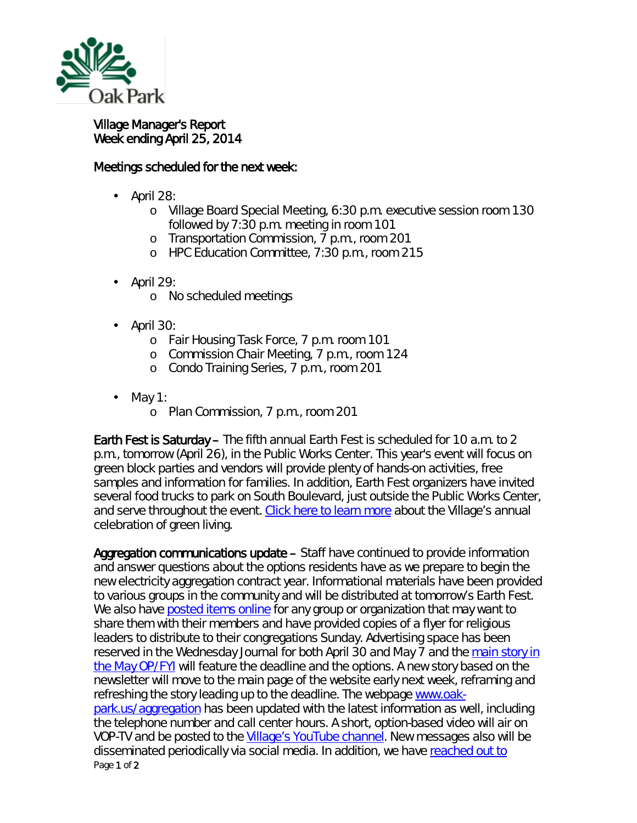

## Village Manager's Report Week ending April 25, 2014

## Meetings scheduled for the next week:

- April 28:
	- o Village Board Special Meeting, 6:30 p.m. executive session room 130 followed by 7:30 p.m. meeting in room 101
	- o Transportation Commission, 7 p.m., room 201
	- o HPC Education Committee, 7:30 p.m., room 215
- April 29:
	- o No scheduled meetings
- April 30:
	- o Fair Housing Task Force, 7 p.m. room 101
	- o Commission Chair Meeting, 7 p.m., room 124
	- o Condo Training Series, 7 p.m., room 201
- May 1: ä,
	- o Plan Commission, 7 p.m., room 201

Earth Fest is Saturday – The fifth annual Earth Fest is scheduled for 10 a.m. to 2 p.m., tomorrow (April 26), in the Public Works Center. This year's event will focus on green block parties and vendors will provide plenty of hands-on activities, free samples and information for families. In addition, Earth Fest organizers have invited several food trucks to park on South Boulevard, just outside the Public Works Center, and serve throughout the event. [Click here to learn more](http://www.oak-park.us/news/food-trucks-headline-5th-annual-earth-fest) about the Village's annual celebration of green living.

Page 1 of 2 Aggregation communications update – Staff have continued to provide information and answer questions about the options residents have as we prepare to begin the new electricity aggregation contract year. Informational materials have been provided to various groups in the community and will be distributed at tomorrow's Earth Fest. We also have **posted items online** for any group or organization that may want to share them with their members and have provided copies of a flyer for religious leaders to distribute to their congregations Sunday. Advertising space has been reserved in the Wednesday Journal for both April 30 and May 7 and the main story in [the May OP/FYI](http://www.oak-park.us/sites/default/files/456678891/May%202014%20OPFYI%20page%201.pdf) will feature the deadline and the options. A new story based on the newsletter will move to the main page of the website early next week, reframing and refreshing the story leading up to the deadline. The webpage [www.oak](http://www.oak-park.us/aggregation)[park.us/aggregation](http://www.oak-park.us/aggregation) has been updated with the latest information as well, including the telephone number and call center hours. A short, option-based video will air on VOP-TV and be posted to the [Village's YouTube channel.](http://www.youtube.com/user/vopnews) New messages also will be disseminated periodically via social media. In addition, we have [reached out to](http://www.oak-park.us/sites/default/files/environment-related/Enrollment/aggregation-commercial-flyer-single.pdf)